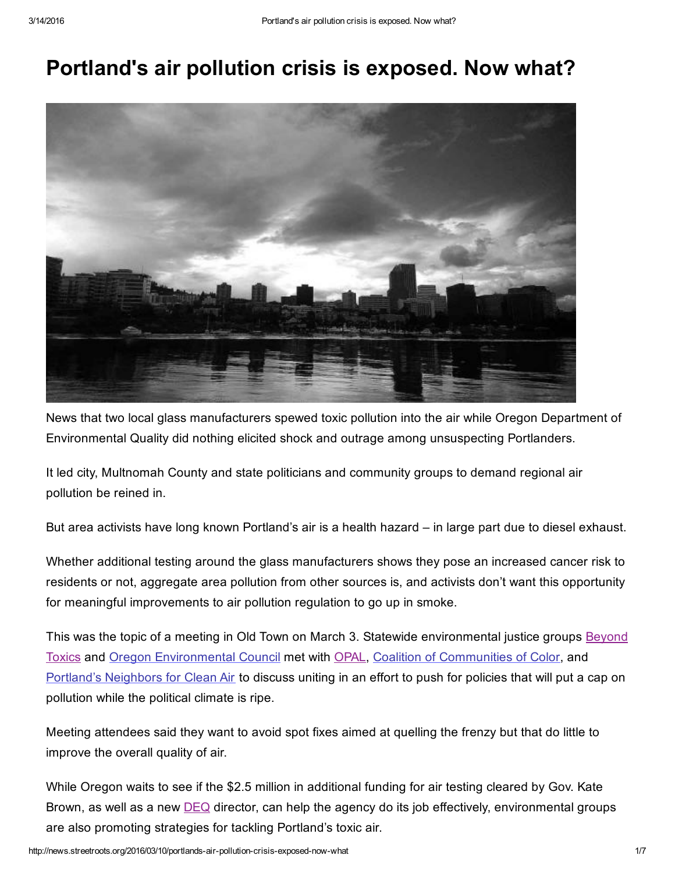# Portland's air pollution crisis is exposed. Now what?



News that two local glass manufacturers spewed toxic pollution into the air while Oregon Department of Environmental Quality did nothing elicited shock and outrage among unsuspecting Portlanders.

It led city, Multnomah County and state politicians and community groups to demand regional air pollution be reined in.

But area activists have long known Portland's air is a health hazard – in large part due to diesel exhaust.

Whether additional testing around the glass manufacturers shows they pose an increased cancer risk to residents or not, aggregate area pollution from other sources is, and activists don't want this opportunity for meaningful improvements to air pollution regulation to go up in smoke.

This was the topic of a meeting in Old Town on March 3. Statewide [environmental](http://www.beyondtoxics.org/) justice groups **Beyond** Toxics and Oregon [Environmental](http://oeconline.org/) Council met with [OPAL](http://www.opalpdx.org/), Coalition of [Communities](http://www.coalitioncommunitiescolor.org/) of Color, and Portland's [Neighbors](http://www.whatsinourair.org/) for Clean Air to discuss uniting in an effort to push for policies that will put a cap on pollution while the political climate is ripe.

Meeting attendees said they want to avoid spot fixes aimed at quelling the frenzy but that do little to improve the overall quality of air.

While Oregon waits to see if the \$2.5 million in additional funding for air testing cleared by Gov. Kate Brown, as well as a new **[DEQ](http://www.oregon.gov/DEQ/pages/index.aspx)** director, can help the agency do its job effectively, environmental groups are also promoting strategies for tackling Portland's toxic air.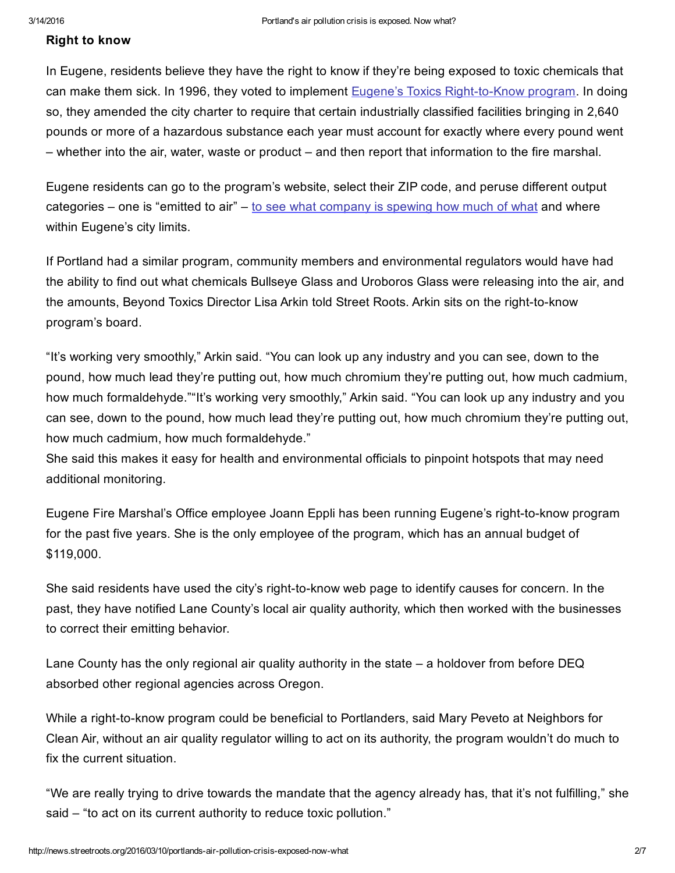## Right to know

In Eugene, residents believe they have the right to know if they're being exposed to toxic chemicals that can make them sick. In 1996, they voted to implement Eugene's Toxics Right-to-Know program. In doing so, they amended the city charter to require that certain industrially classified facilities bringing in 2,640 pounds or more of a hazardous substance each year must account for exactly where every pound went – whether into the air, water, waste or product – and then report that information to the fire marshal.

Eugene residents can go to the program's website, select their ZIP code, and peruse different output categories – one is "emitted to air" – to see what [company](https://ceapps.eugene-or.gov/toxics/rptc.asp) is spewing how much of what and where within Eugene's city limits.

If Portland had a similar program, community members and environmental regulators would have had the ability to find out what chemicals Bullseye Glass and Uroboros Glass were releasing into the air, and the amounts, Beyond Toxics Director Lisa Arkin told Street Roots. Arkin sits on the right-to-know program's board.

"It's working very smoothly," Arkin said. "You can look up any industry and you can see, down to the pound, how much lead they're putting out, how much chromium they're putting out, how much cadmium, how much formaldehyde.""It's working very smoothly," Arkin said. "You can look up any industry and you can see, down to the pound, how much lead they're putting out, how much chromium they're putting out, how much cadmium, how much formaldehyde."

She said this makes it easy for health and environmental officials to pinpoint hotspots that may need additional monitoring.

Eugene Fire Marshal's Office employee Joann Eppli has been running Eugene's right-to-know program for the past five years. She is the only employee of the program, which has an annual budget of \$119,000.

She said residents have used the city's right-to-know web page to identify causes for concern. In the past, they have notified Lane County's local air quality authority, which then worked with the businesses to correct their emitting behavior.

Lane County has the only regional air quality authority in the state – a holdover from before DEQ absorbed other regional agencies across Oregon.

While a right-to-know program could be beneficial to Portlanders, said Mary Peveto at Neighbors for Clean Air, without an air quality regulator willing to act on its authority, the program wouldn't do much to fix the current situation.

"We are really trying to drive towards the mandate that the agency already has, that it's not fulfilling," she said – "to act on its current authority to reduce toxic pollution."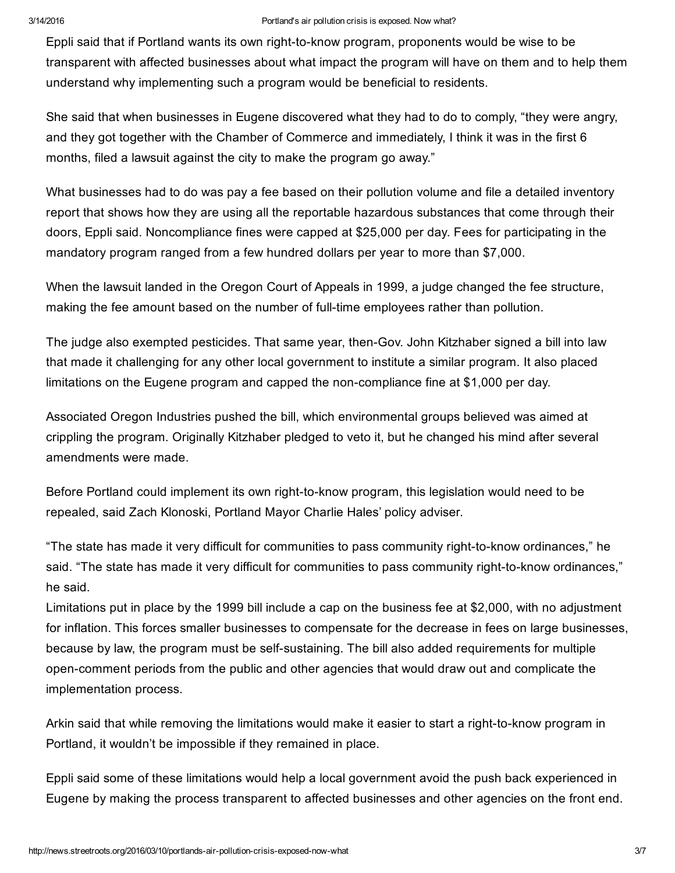#### 3/14/2016 Portland's air pollution crisis is exposed. Now what?

Eppli said that if Portland wants its own right-to-know program, proponents would be wise to be transparent with affected businesses about what impact the program will have on them and to help them understand why implementing such a program would be beneficial to residents.

She said that when businesses in Eugene discovered what they had to do to comply, "they were angry, and they got together with the Chamber of Commerce and immediately, I think it was in the first 6 months, filed a lawsuit against the city to make the program go away."

What businesses had to do was pay a fee based on their pollution volume and file a detailed inventory report that shows how they are using all the reportable hazardous substances that come through their doors, Eppli said. Noncompliance fines were capped at \$25,000 per day. Fees for participating in the mandatory program ranged from a few hundred dollars per year to more than \$7,000.

When the lawsuit landed in the Oregon Court of Appeals in 1999, a judge changed the fee structure, making the fee amount based on the number of full-time employees rather than pollution.

The judge also exempted pesticides. That same year, then-Gov. John Kitzhaber signed a bill into law that made it challenging for any other local government to institute a similar program. It also placed limitations on the Eugene program and capped the non-compliance fine at \$1,000 per day.

Associated Oregon Industries pushed the bill, which environmental groups believed was aimed at crippling the program. Originally Kitzhaber pledged to veto it, but he changed his mind after several amendments were made.

Before Portland could implement its own right-to-know program, this legislation would need to be repealed, said Zach Klonoski, Portland Mayor Charlie Hales' policy adviser.

"The state has made it very difficult for communities to pass community right-to-know ordinances," he said. "The state has made it very difficult for communities to pass community right-to-know ordinances," he said.

Limitations put in place by the 1999 bill include a cap on the business fee at \$2,000, with no adjustment for inflation. This forces smaller businesses to compensate for the decrease in fees on large businesses, because by law, the program must be self-sustaining. The bill also added requirements for multiple open-comment periods from the public and other agencies that would draw out and complicate the implementation process.

Arkin said that while removing the limitations would make it easier to start a right-to-know program in Portland, it wouldn't be impossible if they remained in place.

Eppli said some of these limitations would help a local government avoid the push back experienced in Eugene by making the process transparent to affected businesses and other agencies on the front end.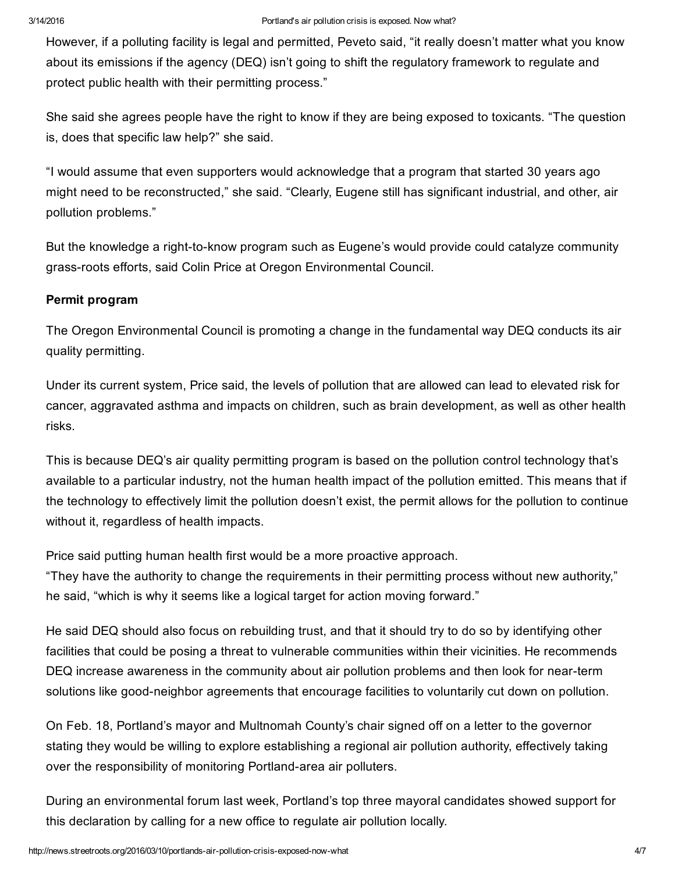However, if a polluting facility is legal and permitted, Peveto said, "it really doesn't matter what you know about its emissions if the agency (DEQ) isn't going to shift the regulatory framework to regulate and protect public health with their permitting process."

She said she agrees people have the right to know if they are being exposed to toxicants. "The question is, does that specific law help?" she said.

"I would assume that even supporters would acknowledge that a program that started 30 years ago might need to be reconstructed," she said. "Clearly, Eugene still has significant industrial, and other, air pollution problems."

But the knowledge a right-to-know program such as Eugene's would provide could catalyze community grass-roots efforts, said Colin Price at Oregon Environmental Council.

# Permit program

The Oregon Environmental Council is promoting a change in the fundamental way DEQ conducts its air quality permitting.

Under its current system, Price said, the levels of pollution that are allowed can lead to elevated risk for cancer, aggravated asthma and impacts on children, such as brain development, as well as other health risks.

This is because DEQ's air quality permitting program is based on the pollution control technology that's available to a particular industry, not the human health impact of the pollution emitted. This means that if the technology to effectively limit the pollution doesn't exist, the permit allows for the pollution to continue without it, regardless of health impacts.

Price said putting human health first would be a more proactive approach.

"They have the authority to change the requirements in their permitting process without new authority," he said, "which is why it seems like a logical target for action moving forward."

He said DEQ should also focus on rebuilding trust, and that it should try to do so by identifying other facilities that could be posing a threat to vulnerable communities within their vicinities. He recommends DEQ increase awareness in the community about air pollution problems and then look for near-term solutions like good-neighbor agreements that encourage facilities to voluntarily cut down on pollution.

On Feb. 18, Portland's mayor and Multnomah County's chair signed off on a letter to the governor stating they would be willing to explore establishing a regional air pollution authority, effectively taking over the responsibility of monitoring Portland-area air polluters.

During an environmental forum last week, Portland's top three mayoral candidates showed support for this declaration by calling for a new office to regulate air pollution locally.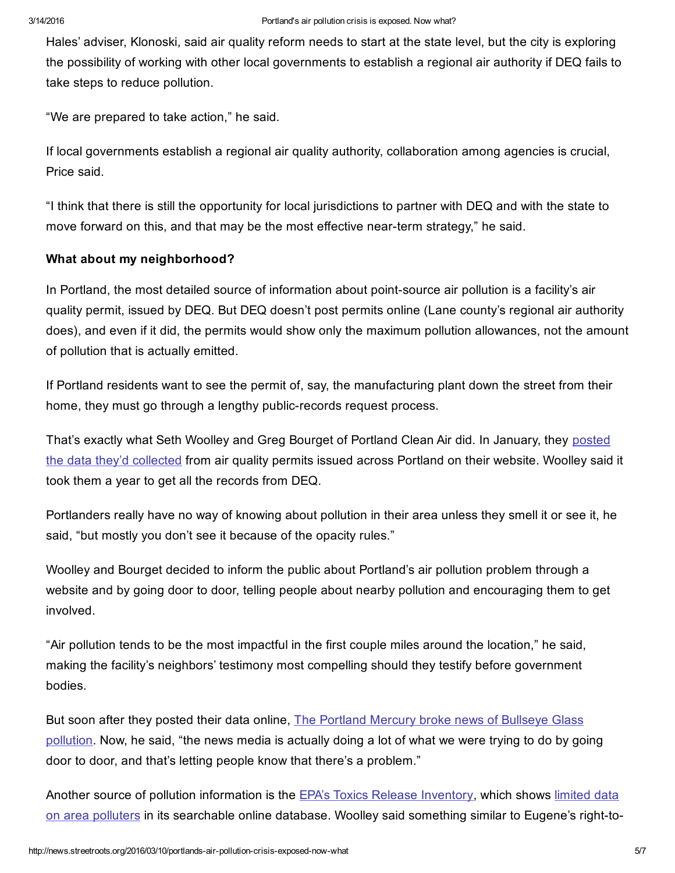Hales' adviser, Klonoski, said air quality reform needs to start at the state level, but the city is exploring the possibility of working with other local governments to establish a regional air authority if DEQ fails to take steps to reduce pollution.

"We are prepared to take action," he said.

If local governments establish a regional air quality authority, collaboration among agencies is crucial, Price said.

"I think that there is still the opportunity for local jurisdictions to partner with DEQ and with the state to move forward on this, and that may be the most effective near-term strategy," he said.

## What about my neighborhood?

In Portland, the most detailed source of information about point-source air pollution is a facility's air quality permit, issued by DEQ. But DEQ doesn't post permits online (Lane county's regional air authority does), and even if it did, the permits would show only the maximum pollution allowances, not the amount of pollution that is actually emitted.

If Portland residents want to see the permit of, say, the manufacturing plant down the street from their home, they must go through a lengthy public-records request process.

That's exactly what Seth Woolley and Greg Bourget of Portland Clean Air did. In January, they posted the data they'd [collected](http://portlandcleanair.org/) from air quality permits issued across Portland on their website. Woolley said it took them a year to get all the records from DEQ.

Portlanders really have no way of knowing about pollution in their area unless they smell it or see it, he said, "but mostly you don't see it because of the opacity rules."

Woolley and Bourget decided to inform the public about Portland's air pollution problem through a website and by going door to door, telling people about nearby pollution and encouraging them to get involved.

"Air pollution tends to be the most impactful in the first couple miles around the location," he said, making the facility's neighbors' testimony most compelling should they testify before government bodies.

But soon after they posted their data online, The Portland Mercury broke news of Bullseye Glass [pollution.](http://www.portlandmercury.com/BlogtownPDX/archives/2016/02/03/arsenic-cadmium-levels-near-two-se-portland-schools-are-alarmingly-high-state-finds) Now, he said, "the news media is actually doing a lot of what we were trying to do by going door to door, and that's letting people know that there's a problem."

Another source of pollution [information](https://iaspub.epa.gov/triexplorer/msa.html?pYear=2014&pLoc=685) is the EPA's Toxics Release [Inventory](http://www.epa.gov/toxics-release-inventory-tri-program), which shows limited data on area polluters in its searchable online database. Woolley said something similar to Eugene's right-to